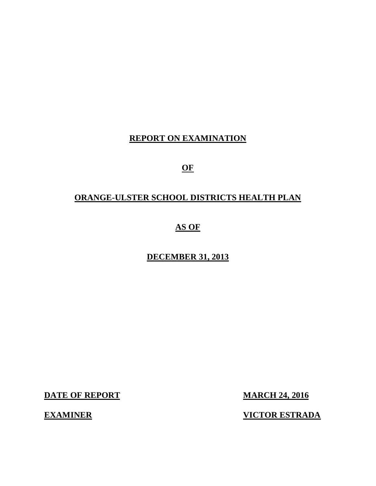### **REPORT ON EXAMINATION**

**OF** 

## **ORANGE-ULSTER SCHOOL DISTRICTS HEALTH PLAN**

## **AS OF**

### **DECEMBER 31, 2013**

**DATE OF REPORT MARCH 24, 2016** 

**EXAMINER** 

**VICTOR ESTRADA**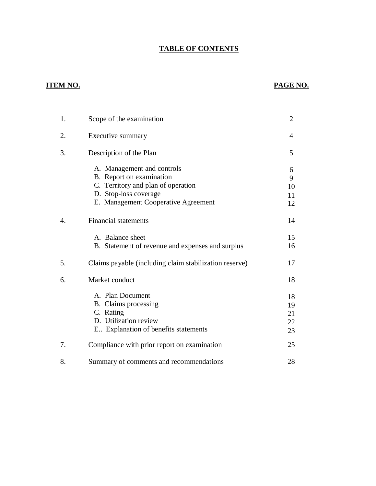#### **TABLE OF CONTENTS**

### **ITEM NO.**

### **PAGE NO.**

| 1. | Scope of the examination                               | $\overline{2}$ |
|----|--------------------------------------------------------|----------------|
| 2. | Executive summary                                      | 4              |
| 3. | Description of the Plan                                | 5              |
|    | A. Management and controls<br>B. Report on examination | 6              |
|    | C. Territory and plan of operation                     | 9              |
|    | D. Stop-loss coverage                                  | 10             |
|    | E. Management Cooperative Agreement                    | 11<br>12       |
| 4. | <b>Financial statements</b>                            | 14             |
|    | A. Balance sheet                                       | 15             |
|    | B. Statement of revenue and expenses and surplus       | 16             |
| 5. | Claims payable (including claim stabilization reserve) | 17             |
| 6. | Market conduct                                         | 18             |
|    | A. Plan Document                                       | 18             |
|    | B. Claims processing                                   | 19             |
|    | C. Rating                                              | 21             |
|    | D. Utilization review                                  | 22             |
|    | E Explanation of benefits statements                   | 23             |
| 7. | Compliance with prior report on examination            | 25             |
| 8. | Summary of comments and recommendations                | 28             |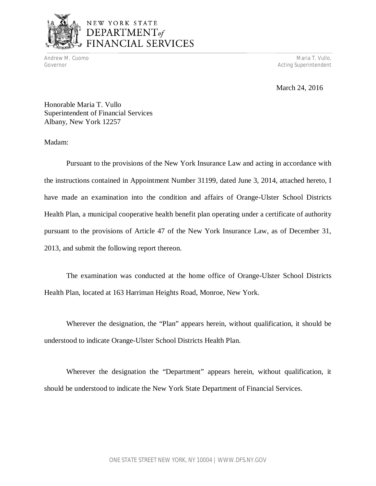

# NEW YORK STATE DEPARTMENT<sub>of</sub><br>FINANCIAL SERVICES

Andrew M. Cuomo Maria T. Vullo, Andrew Maria T. Vullo, Andrew Maria T. Vullo, Andrew Maria T. Vullo, Andrew Maria T. Vullo, Andrew Maria T. Vullo, Andrew Maria T. Vullo, Andrew Maria T. Vullo, Andrew Maria T. Vullo, Andrew Governor **Acting Superintendent Acting Superintendent** 

March 24, 2016

 Honorable Maria T. Vullo Superintendent of Financial Services Albany, New York 12257

Madam:

 Pursuant to the provisions of the New York Insurance Law and acting in accordance with the instructions contained in Appointment Number 31199, dated June 3, 2014, attached hereto, I have made an examination into the condition and affairs of Orange-Ulster School Districts Health Plan, a municipal cooperative health benefit plan operating under a certificate of authority pursuant to the provisions of Article 47 of the New York Insurance Law, as of December 31, 2013, and submit the following report thereon.

 Health Plan, located at 163 Harriman Heights Road, Monroe, New York. The examination was conducted at the home office of Orange-Ulster School Districts

 Wherever the designation, the "Plan" appears herein, without qualification, it should be understood to indicate Orange-Ulster School Districts Health Plan.

 Wherever the designation the "Department" appears herein, without qualification, it should be understood to indicate the New York State Department of Financial Services.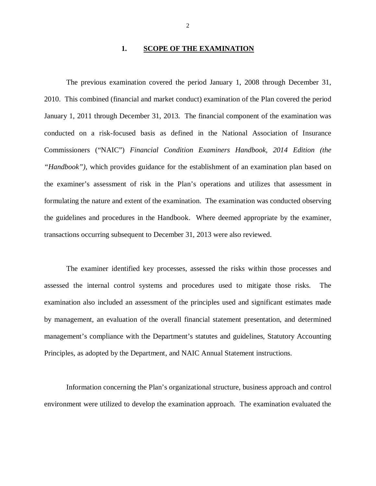#### **1. SCOPE OF THE EXAMINATION**

 The previous examination covered the period January 1, 2008 through December 31, 2010. This combined (financial and market conduct) examination of the Plan covered the period January 1, 2011 through December 31, 2013. The financial component of the examination was conducted on a risk-focused basis as defined in the National Association of Insurance Commissioners ("NAIC") *Financial Condition Examiners Handbook, 2014 Edition (the "Handbook"),* which provides guidance for the establishment of an examination plan based on the examiner's assessment of risk in the Plan's operations and utilizes that assessment in formulating the nature and extent of the examination. The examination was conducted observing the guidelines and procedures in the Handbook. Where deemed appropriate by the examiner, transactions occurring subsequent to December 31, 2013 were also reviewed.

 assessed the internal control systems and procedures used to mitigate those risks. The examination also included an assessment of the principles used and significant estimates made by management, an evaluation of the overall financial statement presentation, and determined management's compliance with the Department's statutes and guidelines, Statutory Accounting Principles, as adopted by the Department, and NAIC Annual Statement instructions. The examiner identified key processes, assessed the risks within those processes and

 Information concerning the Plan's organizational structure, business approach and control environment were utilized to develop the examination approach. The examination evaluated the

2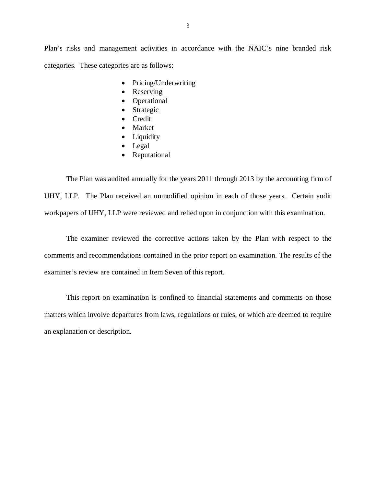Plan's risks and management activities in accordance with the NAIC's nine branded risk categories. These categories are as follows:

- Pricing/Underwriting
- Reserving
- Operational
- Strategic
- Credit
- Market
- Liquidity
- Legal
- Reputational

 The Plan was audited annually for the years 2011 through 2013 by the accounting firm of UHY, LLP. The Plan received an unmodified opinion in each of those years. Certain audit workpapers of UHY, LLP were reviewed and relied upon in conjunction with this examination.

 The examiner reviewed the corrective actions taken by the Plan with respect to the comments and recommendations contained in the prior report on examination. The results of the examiner's review are contained in Item Seven of this report.

 This report on examination is confined to financial statements and comments on those matters which involve departures from laws, regulations or rules, or which are deemed to require an explanation or description.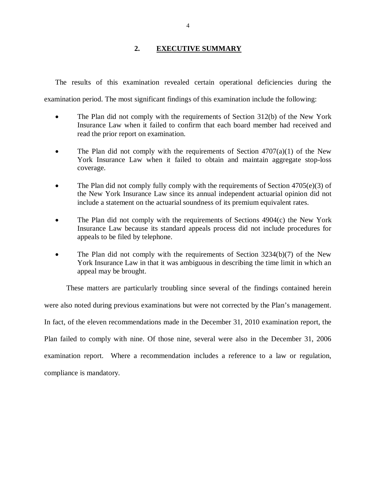#### **2. EXECUTIVE SUMMARY**

The results of this examination revealed certain operational deficiencies during the

examination period. The most significant findings of this examination include the following:

- The Plan did not comply with the requirements of Section 312(b) of the New York Insurance Law when it failed to confirm that each board member had received and read the prior report on examination.
- The Plan did not comply with the requirements of Section  $4707(a)(1)$  of the New York Insurance Law when it failed to obtain and maintain aggregate stop-loss coverage.
- The Plan did not comply fully comply with the requirements of Section 4705(e)(3) of the New York Insurance Law since its annual independent actuarial opinion did not include a statement on the actuarial soundness of its premium equivalent rates.
- The Plan did not comply with the requirements of Sections 4904(c) the New York Insurance Law because its standard appeals process did not include procedures for appeals to be filed by telephone.
- The Plan did not comply with the requirements of Section 3234(b)(7) of the New York Insurance Law in that it was ambiguous in describing the time limit in which an appeal may be brought.

 These matters are particularly troubling since several of the findings contained herein were also noted during previous examinations but were not corrected by the Plan's management. In fact, of the eleven recommendations made in the December 31, 2010 examination report, the Plan failed to comply with nine. Of those nine, several were also in the December 31, 2006 examination report. Where a recommendation includes a reference to a law or regulation, compliance is mandatory.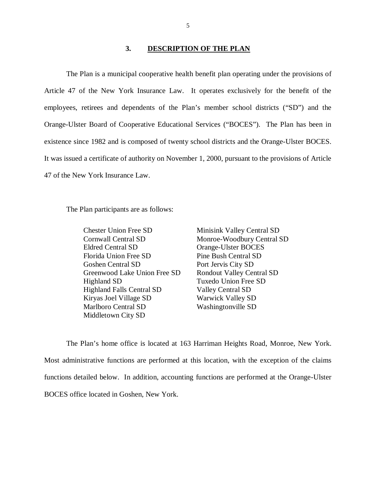#### **3. DESCRIPTION OF THE PLAN**

 The Plan is a municipal cooperative health benefit plan operating under the provisions of Article 47 of the New York Insurance Law. It operates exclusively for the benefit of the employees, retirees and dependents of the Plan's member school districts ("SD") and the Orange-Ulster Board of Cooperative Educational Services ("BOCES"). The Plan has been in existence since 1982 and is composed of twenty school districts and the Orange-Ulster BOCES. It was issued a certificate of authority on November 1, 2000, pursuant to the provisions of Article 47 of the New York Insurance Law.

The Plan participants are as follows:

 Chester Union Free SD Cornwall Central SD Eldred Central SD Florida Union Free SD Goshen Central SD Greenwood Lake Union Free SD Highland SD Highland Falls Central SD Kiryas Joel Village SD Marlboro Central SD Middletown City SD

Minisink Valley Central SD Monroe-Woodbury Central SD Orange-Ulster BOCES Pine Bush Central SD Port Jervis City SD Rondout Valley Central SD Tuxedo Union Free SD Valley Central SD Warwick Valley SD Washingtonville SD

 Most administrative functions are performed at this location, with the exception of the claims functions detailed below. In addition, accounting functions are performed at the Orange-Ulster BOCES office located in Goshen, New York. The Plan's home office is located at 163 Harriman Heights Road, Monroe, New York.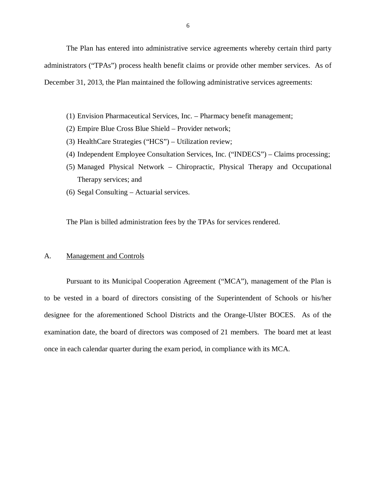The Plan has entered into administrative service agreements whereby certain third party administrators ("TPAs") process health benefit claims or provide other member services. As of December 31, 2013, the Plan maintained the following administrative services agreements:

- (1) Envision Pharmaceutical Services, Inc. Pharmacy benefit management;
- (2) Empire Blue Cross Blue Shield Provider network;
- (3) HealthCare Strategies ("HCS") Utilization review;
- (4) Independent Employee Consultation Services, Inc. ("INDECS") Claims processing;
- (5) Managed Physical Network Chiropractic, Physical Therapy and Occupational Therapy services; and
- (6) Segal Consulting Actuarial services.

The Plan is billed administration fees by the TPAs for services rendered.

#### A. Management and Controls

 Pursuant to its Municipal Cooperation Agreement ("MCA"), management of the Plan is to be vested in a board of directors consisting of the Superintendent of Schools or his/her designee for the aforementioned School Districts and the Orange-Ulster BOCES. As of the examination date, the board of directors was composed of 21 members. The board met at least once in each calendar quarter during the exam period, in compliance with its MCA.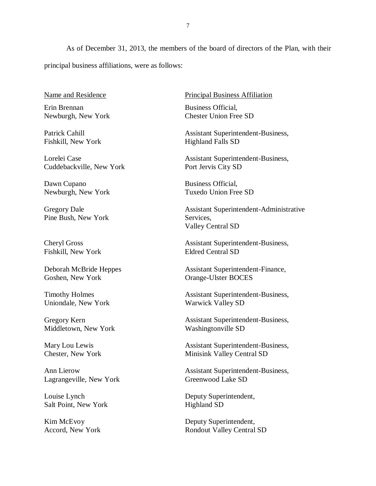As of December 31, 2013, the members of the board of directors of the Plan, with their principal business affiliations, were as follows:

Name and Residence

 Erin Brennan Newburgh, New York

 Fishkill, New York Patrick Cahill

 Lorelei Case Cuddebackville, New York

 Dawn Cupano Newburgh, New York

 Gregory Dale Pine Bush, New York

 Cheryl Gross Fishkill, New York

 Deborah McBride Heppes Goshen, New York

 Timothy Holmes Uniondale, New York

 Gregory Kern Middletown, New York

 Mary Lou Lewis Chester, New York

 Ann Lierow Lagrangeville, New York

 Louise Lynch Salt Point, New York

 Kim McEvoy Accord, New York Principal Business Affiliation

 Business Official, Chester Union Free SD

Assistant Superintendent-Business, Highland Falls SD

Assistant Superintendent-Business, Port Jervis City SD

 Business Official, Tuxedo Union Free SD

 Valley Central SD Assistant Superintendent-Administrative Services,

Assistant Superintendent-Business, Eldred Central SD

Assistant Superintendent-Finance, Orange-Ulster BOCES

Assistant Superintendent-Business, Warwick Valley SD

Assistant Superintendent-Business, Washingtonville SD

Assistant Superintendent-Business, Minisink Valley Central SD

Assistant Superintendent-Business, Greenwood Lake SD

Deputy Superintendent, Highland SD

Deputy Superintendent, Rondout Valley Central SD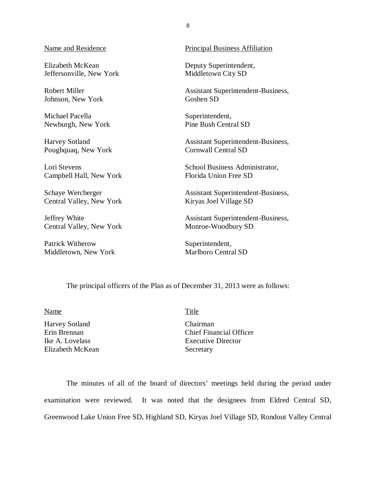Elizabeth McKean Jeffersonville, New York Middletown City SD

**Robert Miller** Johnson, New York Goshen SD

Michael Pacella

**Harvey Sotland** 

Lori Stevens Campbell Hall, New York Florida Union Free SD

Schaye Wercberger Central Valley, New York Kiryas Joel Village SD

Jeffrey White Central Valley, New York Monroe-Woodbury SD

Patrick Witherow Superintendent,

#### Name and Residence **Principal Business** Affiliation

Deputy Superintendent,

Assistant Superintendent-Business,

Newburgh, New York Pine Bush Central SD Superintendent,

Poughquaq, New York Cornwall Central SD Assistant Superintendent-Business,

Lori Stevens School Business Administrator, Florida Union Free SD

Assistant Superintendent-Business,

Assistant Superintendent-Business,

Middletown, New York Marlboro Central SD

The principal officers of the Plan as of December 31, 2013 were as follows:

Name Title

Harvey Sotland Chairman Erin Brennan Ike A. Lovelass Elizabeth McKean Secretary

Chief Financial Officer Executive Director

 The minutes of all of the board of directors' meetings held during the period under examination were reviewed. It was noted that the designees from Eldred Central SD, Greenwood Lake Union Free SD, Highland SD, Kiryas Joel Village SD, Rondout Valley Central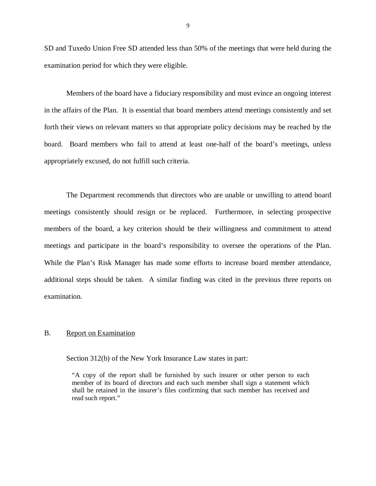SD and Tuxedo Union Free SD attended less than 50% of the meetings that were held during the examination period for which they were eligible.

 Members of the board have a fiduciary responsibility and must evince an ongoing interest in the affairs of the Plan. It is essential that board members attend meetings consistently and set forth their views on relevant matters so that appropriate policy decisions may be reached by the board. Board members who fail to attend at least one-half of the board's meetings, unless appropriately excused, do not fulfill such criteria.

 The Department recommends that directors who are unable or unwilling to attend board meetings consistently should resign or be replaced. Furthermore, in selecting prospective members of the board, a key criterion should be their willingness and commitment to attend meetings and participate in the board's responsibility to oversee the operations of the Plan. While the Plan's Risk Manager has made some efforts to increase board member attendance, additional steps should be taken. A similar finding was cited in the previous three reports on examination.

#### **B.** Report on Examination.

Section 312(b) of the New York Insurance Law states in part:

 "A copy of the report shall be furnished by such insurer or other person to each member of its board of directors and each such member shall sign a statement which shall be retained in the insurer's files confirming that such member has received and read such report."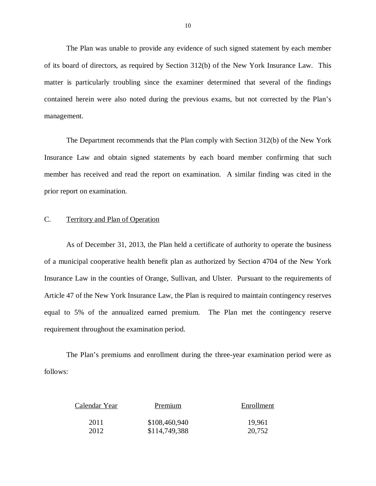of its board of directors, as required by Section 312(b) of the New York Insurance Law. This matter is particularly troubling since the examiner determined that several of the findings contained herein were also noted during the previous exams, but not corrected by the Plan's The Plan was unable to provide any evidence of such signed statement by each member management.

 Insurance Law and obtain signed statements by each board member confirming that such member has received and read the report on examination. A similar finding was cited in the prior report on examination. The Department recommends that the Plan comply with Section 312(b) of the New York

#### C. Territory and Plan of Operation

 As of December 31, 2013, the Plan held a certificate of authority to operate the business of a municipal cooperative health benefit plan as authorized by Section 4704 of the New York Insurance Law in the counties of Orange, Sullivan, and Ulster. Pursuant to the requirements of Article 47 of the New York Insurance Law, the Plan is required to maintain contingency reserves equal to 5% of the annualized earned premium. The Plan met the contingency reserve requirement throughout the examination period.

follows: The Plan's premiums and enrollment during the three-year examination period were as follows:<br>
Calendar Year Premium Enrollment

| Calendar Year | Premium       | Enrollment |
|---------------|---------------|------------|
| 2011          | \$108,460,940 | 19,961     |
| 2012          | \$114,749,388 | 20,752     |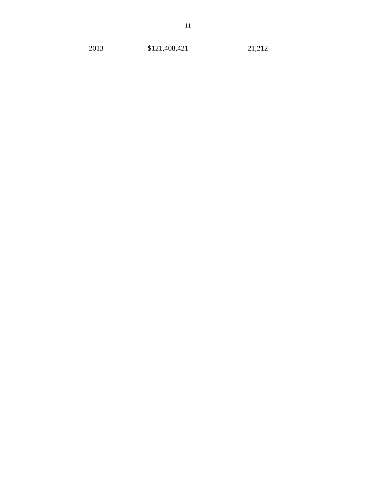2013 \$121,408,421 21,212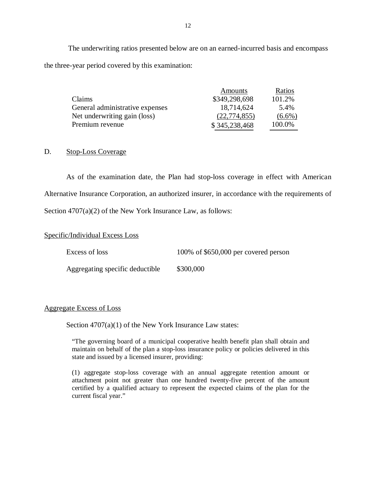The underwriting ratios presented below are on an earned-incurred basis and encompass the three-year period covered by this examination:

|                                 | Amounts        | Ratios    |
|---------------------------------|----------------|-----------|
| Claims                          | \$349,298,698  | 101.2%    |
| General administrative expenses | 18,714,624     | 5.4%      |
| Net underwriting gain (loss)    | (22, 774, 855) | $(6.6\%)$ |
| Premium revenue                 | \$345,238,468  | 100.0%    |

#### D. Stop-Loss Coverage

 As of the examination date, the Plan had stop-loss coverage in effect with American Alternative Insurance Corporation, an authorized insurer, in accordance with the requirements of Section 4707(a)(2) of the New York Insurance Law, as follows:

#### Specific/Individual Excess Loss

Aggregating specific deductible \$300,000

#### Aggregate Excess of Loss

Section 4707(a)(1) of the New York Insurance Law states:

 "The governing board of a municipal cooperative health benefit plan shall obtain and maintain on behalf of the plan a stop-loss insurance policy or policies delivered in this state and issued by a licensed insurer, providing:

 (1) aggregate stop-loss coverage with an annual aggregate retention amount or attachment point not greater than one hundred twenty-five percent of the amount certified by a qualified actuary to represent the expected claims of the plan for the current fiscal year."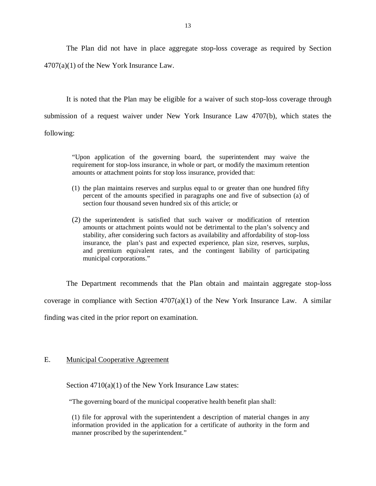The Plan did not have in place aggregate stop-loss coverage as required by Section 4707(a)(1) of the New York Insurance Law.

 It is noted that the Plan may be eligible for a waiver of such stop-loss coverage through submission of a request waiver under New York Insurance Law 4707(b), which states the following:

 "Upon application of the governing board, the superintendent may waive the requirement for stop-loss insurance, in whole or part, or modify the maximum retention amounts or attachment points for stop loss insurance, provided that:

- (1) the plan maintains reserves and surplus equal to or greater than one hundred fifty percent of the amounts specified in paragraphs one and five of subsection (a) of section four thousand seven hundred six of this article; or
- (2) the superintendent is satisfied that such waiver or modification of retention amounts or attachment points would not be detrimental to the plan's solvency and stability, after considering such factors as availability and affordability of stop-loss insurance, the plan's past and expected experience, plan size, reserves, surplus, and premium equivalent rates, and the contingent liability of participating municipal corporations."

 The Department recommends that the Plan obtain and maintain aggregate stop-loss coverage in compliance with Section  $4707(a)(1)$  of the New York Insurance Law. A similar finding was cited in the prior report on examination.

#### E. Municipal Cooperative Agreement

Section 4710(a)(1) of the New York Insurance Law states:

"The governing board of the municipal cooperative health benefit plan shall:

 (1) file for approval with the superintendent a description of material changes in any information provided in the application for a certificate of authority in the form and manner proscribed by the superintendent."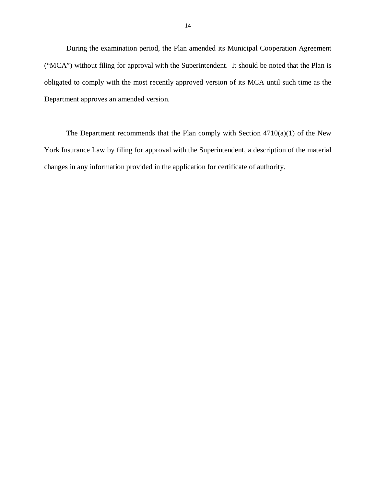During the examination period, the Plan amended its Municipal Cooperation Agreement ("MCA") without filing for approval with the Superintendent. It should be noted that the Plan is obligated to comply with the most recently approved version of its MCA until such time as the Department approves an amended version.

 York Insurance Law by filing for approval with the Superintendent, a description of the material changes in any information provided in the application for certificate of authority. The Department recommends that the Plan comply with Section  $4710(a)(1)$  of the New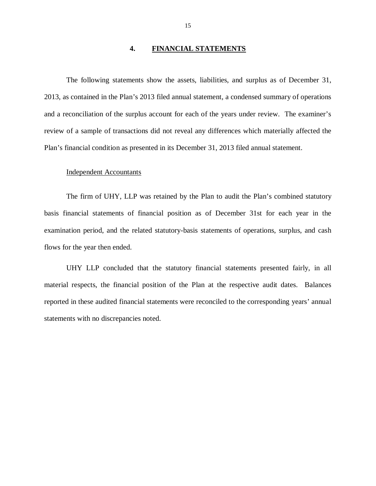#### **4. FINANCIAL STATEMENTS**

 The following statements show the assets, liabilities, and surplus as of December 31, 2013, as contained in the Plan's 2013 filed annual statement, a condensed summary of operations and a reconciliation of the surplus account for each of the years under review. The examiner's review of a sample of transactions did not reveal any differences which materially affected the Plan's financial condition as presented in its December 31, 2013 filed annual statement.

#### Independent Accountants

 The firm of UHY, LLP was retained by the Plan to audit the Plan's combined statutory basis financial statements of financial position as of December 31st for each year in the examination period, and the related statutory-basis statements of operations, surplus, and cash flows for the year then ended.

 UHY LLP concluded that the statutory financial statements presented fairly, in all material respects, the financial position of the Plan at the respective audit dates. Balances reported in these audited financial statements were reconciled to the corresponding years' annual statements with no discrepancies noted.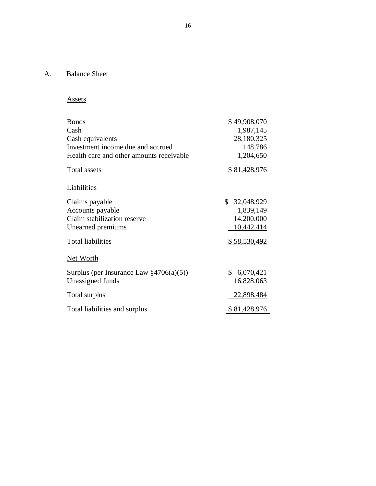#### A. Balance Sheet

### Assets

| <b>Bonds</b>                                | \$49,908,070     |
|---------------------------------------------|------------------|
| Cash                                        | 1,987,145        |
| Cash equivalents                            | 28,180,325       |
| Investment income due and accrued           | 148,786          |
| Health care and other amounts receivable    | 1,204,650        |
| Total assets                                | \$81,428,976     |
| Liabilities                                 |                  |
| Claims payable                              | \$<br>32,048,929 |
| Accounts payable                            | 1,839,149        |
| Claim stabilization reserve                 | 14,200,000       |
| Unearned premiums                           | 10,442,414       |
| <b>Total liabilities</b>                    | \$58,530,492     |
| Net Worth                                   |                  |
| Surplus (per Insurance Law $\S4706(a)(5)$ ) | \$<br>6,070,421  |
| Unassigned funds                            | 16,828,063       |
| Total surplus                               | 22,898,484       |
| Total liabilities and surplus               | \$81,428,976     |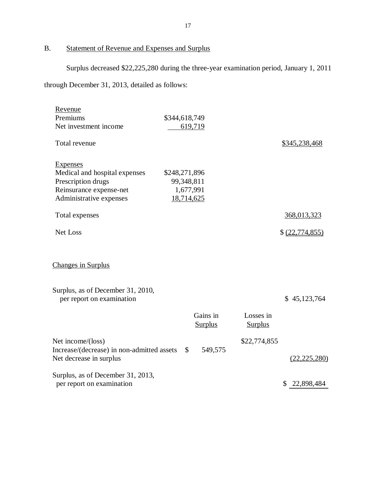B. Statement of Revenue and Expenses and Surplus

Surplus decreased \$22,225,280 during the three-year examination period, January 1, 2011

through December 31, 2013, detailed as follows:

| Revenue<br>Premiums<br>Net investment income                                                                                 | \$344,618,749<br>619,719                               |                             |                   |
|------------------------------------------------------------------------------------------------------------------------------|--------------------------------------------------------|-----------------------------|-------------------|
| Total revenue                                                                                                                |                                                        |                             | \$345,238,468     |
| <b>Expenses</b><br>Medical and hospital expenses<br>Prescription drugs<br>Reinsurance expense-net<br>Administrative expenses | \$248,271,896<br>99,348,811<br>1,677,991<br>18,714,625 |                             |                   |
| Total expenses                                                                                                               |                                                        |                             | 368,013,323       |
| Net Loss                                                                                                                     |                                                        |                             | \$ (22, 774, 855) |
| <b>Changes in Surplus</b>                                                                                                    |                                                        |                             |                   |
| Surplus, as of December 31, 2010,<br>per report on examination                                                               |                                                        |                             | \$45,123,764      |
|                                                                                                                              | Gains in<br><b>Surplus</b>                             | Losses in<br><b>Surplus</b> |                   |
| Net income/(loss)<br>Increase/(decrease) in non-admitted assets<br>Net decrease in surplus                                   | $\mathcal{S}$<br>549,575                               | \$22,774,855                | (22, 225, 280)    |
| Surplus, as of December 31, 2013,<br>per report on examination                                                               |                                                        |                             | \$22,898,484      |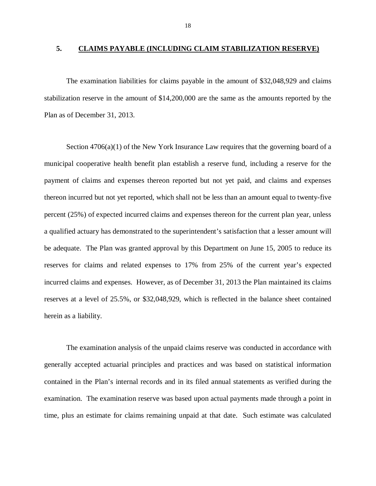#### **5. CLAIMS PAYABLE (INCLUDING CLAIM STABILIZATION RESERVE)**

 The examination liabilities for claims payable in the amount of \$32,048,929 and claims stabilization reserve in the amount of \$14,200,000 are the same as the amounts reported by the Plan as of December 31, 2013.

 Section 4706(a)(1) of the New York Insurance Law requires that the governing board of a municipal cooperative health benefit plan establish a reserve fund, including a reserve for the payment of claims and expenses thereon reported but not yet paid, and claims and expenses thereon incurred but not yet reported, which shall not be less than an amount equal to twenty-five percent (25%) of expected incurred claims and expenses thereon for the current plan year, unless a qualified actuary has demonstrated to the superintendent's satisfaction that a lesser amount will be adequate. The Plan was granted approval by this Department on June 15, 2005 to reduce its reserves for claims and related expenses to 17% from 25% of the current year's expected incurred claims and expenses. However, as of December 31, 2013 the Plan maintained its claims reserves at a level of 25.5%, or \$32,048,929, which is reflected in the balance sheet contained herein as a liability.

 The examination analysis of the unpaid claims reserve was conducted in accordance with generally accepted actuarial principles and practices and was based on statistical information contained in the Plan's internal records and in its filed annual statements as verified during the examination. The examination reserve was based upon actual payments made through a point in time, plus an estimate for claims remaining unpaid at that date. Such estimate was calculated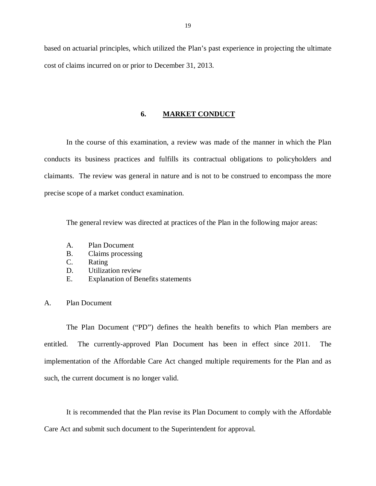based on actuarial principles, which utilized the Plan's past experience in projecting the ultimate cost of claims incurred on or prior to December 31, 2013.

#### **6. MARKET CONDUCT**

 conducts its business practices and fulfills its contractual obligations to policyholders and claimants. The review was general in nature and is not to be construed to encompass the more precise scope of a market conduct examination. In the course of this examination, a review was made of the manner in which the Plan

The general review was directed at practices of the Plan in the following major areas:

- A. Plan Document
- B. Claims processing
- C. Rating
- D. Utilization review
- E. Explanation of Benefits statements

#### A. Plan Document

 The Plan Document ("PD") defines the health benefits to which Plan members are entitled. implementation of the Affordable Care Act changed multiple requirements for the Plan and as such, the current document is no longer valid. The currently-approved Plan Document has been in effect since 2011. The

 It is recommended that the Plan revise its Plan Document to comply with the Affordable Care Act and submit such document to the Superintendent for approval.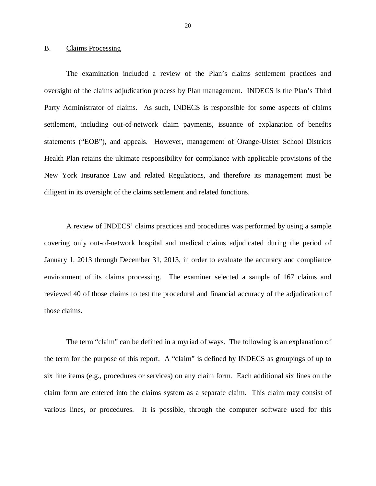#### B. Claims Processing

 oversight of the claims adjudication process by Plan management. INDECS is the Plan's Third Party Administrator of claims. As such, INDECS is responsible for some aspects of claims settlement, including out-of-network claim payments, issuance of explanation of benefits statements ("EOB"), and appeals. However, management of Orange-Ulster School Districts Health Plan retains the ultimate responsibility for compliance with applicable provisions of the New York Insurance Law and related Regulations, and therefore its management must be diligent in its oversight of the claims settlement and related functions. The examination included a review of the Plan's claims settlement practices and

 A review of INDECS' claims practices and procedures was performed by using a sample covering only out-of-network hospital and medical claims adjudicated during the period of January 1, 2013 through December 31, 2013, in order to evaluate the accuracy and compliance environment of its claims processing. The examiner selected a sample of 167 claims and reviewed 40 of those claims to test the procedural and financial accuracy of the adjudication of those claims.

 the term for the purpose of this report. A "claim" is defined by INDECS as groupings of up to six line items (e.g., procedures or services) on any claim form. Each additional six lines on the claim form are entered into the claims system as a separate claim. This claim may consist of various lines, or procedures. It is possible, through the computer software used for this The term "claim" can be defined in a myriad of ways. The following is an explanation of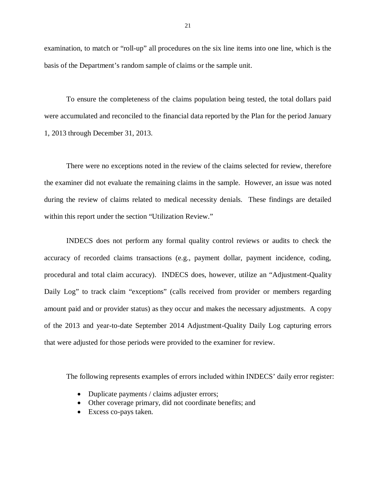examination, to match or "roll-up" all procedures on the six line items into one line, which is the basis of the Department's random sample of claims or the sample unit.

 To ensure the completeness of the claims population being tested, the total dollars paid were accumulated and reconciled to the financial data reported by the Plan for the period January 1, 2013 through December 31, 2013.

 There were no exceptions noted in the review of the claims selected for review, therefore the examiner did not evaluate the remaining claims in the sample. However, an issue was noted during the review of claims related to medical necessity denials. These findings are detailed within this report under the section "Utilization Review."

 INDECS does not perform any formal quality control reviews or audits to check the accuracy of recorded claims transactions (e.g., payment dollar, payment incidence, coding, procedural and total claim accuracy). INDECS does, however, utilize an "Adjustment-Quality Daily Log" to track claim "exceptions" (calls received from provider or members regarding amount paid and or provider status) as they occur and makes the necessary adjustments. A copy of the 2013 and year-to-date September 2014 Adjustment-Quality Daily Log capturing errors that were adjusted for those periods were provided to the examiner for review.

The following represents examples of errors included within INDECS' daily error register:

- Duplicate payments / claims adjuster errors;
- Other coverage primary, did not coordinate benefits; and
- Excess co-pays taken.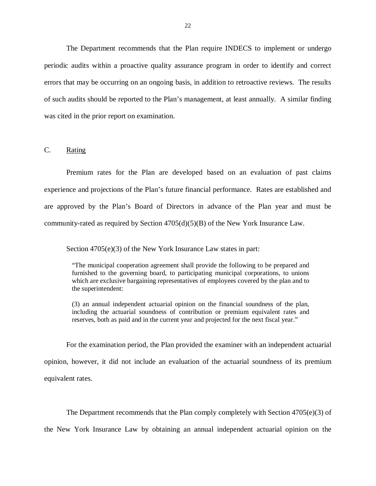The Department recommends that the Plan require INDECS to implement or undergo periodic audits within a proactive quality assurance program in order to identify and correct errors that may be occurring on an ongoing basis, in addition to retroactive reviews. The results of such audits should be reported to the Plan's management, at least annually. A similar finding was cited in the prior report on examination.

#### $C_{\cdot}$ Rating

 Premium rates for the Plan are developed based on an evaluation of past claims experience and projections of the Plan's future financial performance. Rates are established and are approved by the Plan's Board of Directors in advance of the Plan year and must be community-rated as required by Section 4705(d)(5)(B) of the New York Insurance Law.

Section 4705(e)(3) of the New York Insurance Law states in part:

 "The municipal cooperation agreement shall provide the following to be prepared and furnished to the governing board, to participating municipal corporations, to unions which are exclusive bargaining representatives of employees covered by the plan and to the superintendent:

 (3) an annual independent actuarial opinion on the financial soundness of the plan, including the actuarial soundness of contribution or premium equivalent rates and reserves, both as paid and in the current year and projected for the next fiscal year."

 For the examination period, the Plan provided the examiner with an independent actuarial opinion, however, it did not include an evaluation of the actuarial soundness of its premium equivalent rates.

The Department recommends that the Plan comply completely with Section 4705(e)(3) of

the New York Insurance Law by obtaining an annual independent actuarial opinion on the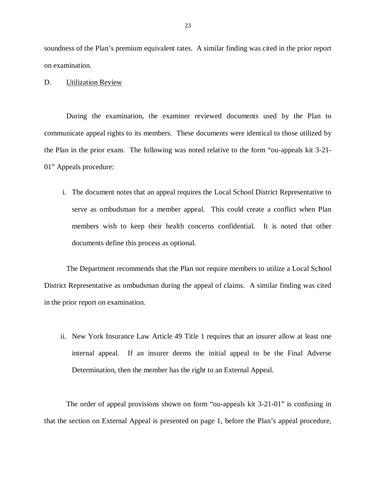soundness of the Plan's premium equivalent rates. A similar finding was cited in the prior report on examination.

D. Utilization Review

 During the examination, the examiner reviewed documents used by the Plan to communicate appeal rights to its members. These documents were identical to those utilized by the Plan in the prior exam. The following was noted relative to the form "ou-appeals kit 3-21- 01" Appeals procedure:

 i. The document notes that an appeal requires the Local School District Representative to serve as ombudsman for a member appeal. This could create a conflict when Plan members wish to keep their health concerns confidential. It is noted that other documents define this process as optional.

 The Department recommends that the Plan not require members to utilize a Local School District Representative as ombudsman during the appeal of claims. A similar finding was cited in the prior report on examination.

 ii. New York Insurance Law Article 49 Title 1 requires that an insurer allow at least one internal appeal. If an insurer deems the initial appeal to be the Final Adverse Determination, then the member has the right to an External Appeal.

 The order of appeal provisions shown on form "ou-appeals kit 3-21-01" is confusing in that the section on External Appeal is presented on page 1, before the Plan's appeal procedure,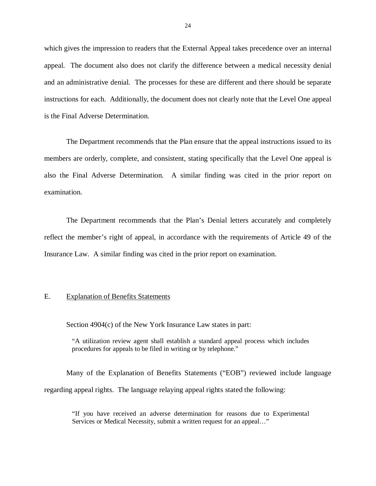which gives the impression to readers that the External Appeal takes precedence over an internal appeal. The document also does not clarify the difference between a medical necessity denial and an administrative denial. The processes for these are different and there should be separate instructions for each. Additionally, the document does not clearly note that the Level One appeal is the Final Adverse Determination.

 The Department recommends that the Plan ensure that the appeal instructions issued to its members are orderly, complete, and consistent, stating specifically that the Level One appeal is also the Final Adverse Determination. A similar finding was cited in the prior report on examination.

 examination. The Department recommends that the Plan's Denial letters accurately and completely reflect the member's right of appeal, in accordance with the requirements of Article 49 of the Insurance Law. A similar finding was cited in the prior report on examination.

#### E. Explanation of Benefits Statements

Section 4904(c) of the New York Insurance Law states in part:

 "A utilization review agent shall establish a standard appeal process which includes procedures for appeals to be filed in writing or by telephone."

 Many of the Explanation of Benefits Statements ("EOB") reviewed include language regarding appeal rights. The language relaying appeal rights stated the following:

 "If you have received an adverse determination for reasons due to Experimental Services or Medical Necessity, submit a written request for an appeal…"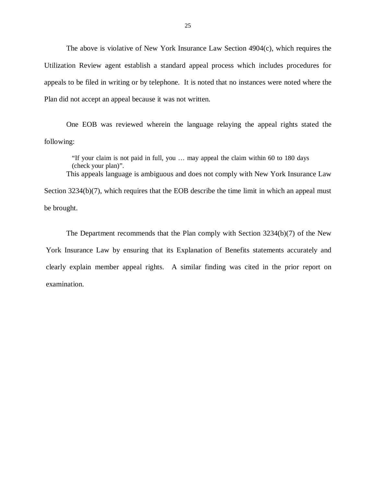The above is violative of New York Insurance Law Section 4904(c), which requires the Utilization Review agent establish a standard appeal process which includes procedures for appeals to be filed in writing or by telephone. It is noted that no instances were noted where the Plan did not accept an appeal because it was not written.

 One EOB was reviewed wherein the language relaying the appeal rights stated the following:

 following: "If your claim is not paid in full, you … may appeal the claim within 60 to 180 days (check your plan)". This appeals language is ambiguous and does not comply with New York Insurance Law

Section 3234(b)(7), which requires that the EOB describe the time limit in which an appeal must be brought.

 The Department recommends that the Plan comply with Section 3234(b)(7) of the New York Insurance Law by ensuring that its Explanation of Benefits statements accurately and clearly explain member appeal rights. A similar finding was cited in the prior report on examination.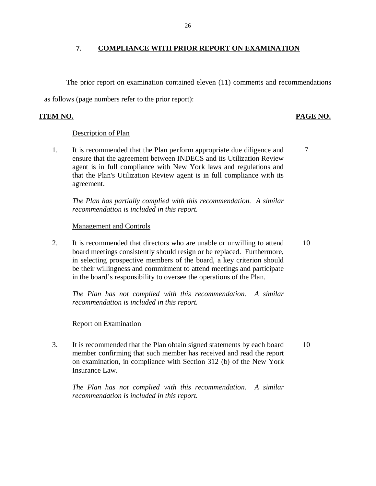### **7**. **COMPLIANCE WITH PRIOR REPORT ON EXAMINATION**

 The prior report on examination contained eleven (11) comments and recommendations as follows (page numbers refer to the prior report):

#### **ITEM NO.**

### PAGE NO.

### Description of Plan

1. ensure that the agreement between INDECS and its Utilization Review agent is in full compliance with New York laws and regulations and that the Plan's Utilization Review agent is in full compliance with its agreement. It is recommended that the Plan perform appropriate due diligence and It is recommended that the Plan perform appropriate due diligence and<br>ensure that the agreement between INDECS and its Utilization Review<br>agent is in full compliance with New York laws and regulations and<br>that the Plan's U

 *The Plan has partially complied with this recommendation. A similar recommendation is included in this report.* 

#### Management and Controls

 $\overline{2}$ . board meetings consistently should resign or be replaced. Furthermore, in selecting prospective members of the board, a key criterion should be their willingness and commitment to attend meetings and participate in the board's responsibility to oversee the operations of the Plan. It is recommended that directors who are unable or unwilling to attend 10

 *The Plan has not complied with this recommendation. A similar recommendation is included in this report.* 

### Report on Examination

 $3.$  member confirming that such member has received and read the report on examination, in compliance with Section 312 (b) of the New York Insurance Law. It is recommended that the Plan obtain signed statements by each board 10

 *The Plan has not complied with this recommendation. A similar recommendation is included in this report.* 

26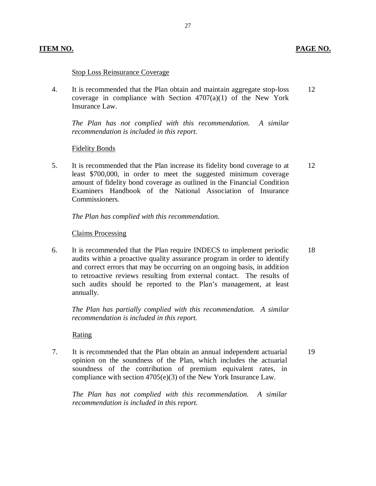#### **PAGE NO.**

#### Stop Loss Reinsurance Coverage

 $\mathbf{A}$ coverage in compliance with Section  $4707(a)(1)$  of the New York Insurance Law. It is recommended that the Plan obtain and maintain aggregate stop-loss 12

 *The Plan has not complied with this recommendation. A similar recommendation is included in this report.* 

#### Fidelity Bonds

 $5<sub>1</sub>$  least \$700,000, in order to meet the suggested minimum coverage amount of fidelity bond coverage as outlined in the Financial Condition Examiners Handbook of the National Association of Insurance Commissioners. It is recommended that the Plan increase its fidelity bond coverage to at 12

 *The Plan has complied with this recommendation.* 

#### Claims Processing

6. audits within a proactive quality assurance program in order to identify and correct errors that may be occurring on an ongoing basis, in addition to retroactive reviews resulting from external contact. The results of such audits should be reported to the Plan's management, at least annually. It is recommended that the Plan require INDECS to implement periodic 18

 *The Plan has partially complied with this recommendation. A similar recommendation is included in this report.* 

Rating

 $7.$  opinion on the soundness of the Plan, which includes the actuarial soundness of the contribution of premium equivalent rates, in compliance with section 4705(e)(3) of the New York Insurance Law. It is recommended that the Plan obtain an annual independent actuarial 19

 *The Plan has not complied with this recommendation. A similar recommendation is included in this report.*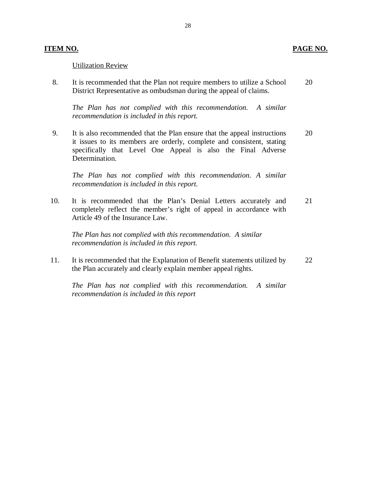#### Utilization Review

8. District Representative as ombudsman during the appeal of claims. It is recommended that the Plan not require members to utilize a School 20

 *The Plan has not complied with this recommendation. A similar recommendation is included in this report.* 

 $\mathbf{Q}$  it issues to its members are orderly, complete and consistent, stating specifically that Level One Appeal is also the Final Adverse It is also recommended that the Plan ensure that the appeal instructions 20 Determination.

 *The Plan has not complied with this recommendation. A similar recommendation is included in this report.* 

 $10.$  completely reflect the member's right of appeal in accordance with Article 49 of the Insurance Law. It is recommended that the Plan's Denial Letters accurately and 21

 *The Plan has not complied with this recommendation. A similar recommendation is included in this report.* 

11. the Plan accurately and clearly explain member appeal rights. It is recommended that the Explanation of Benefit statements utilized by 22

 *The Plan has not complied with this recommendation. A similar recommendation is included in this report*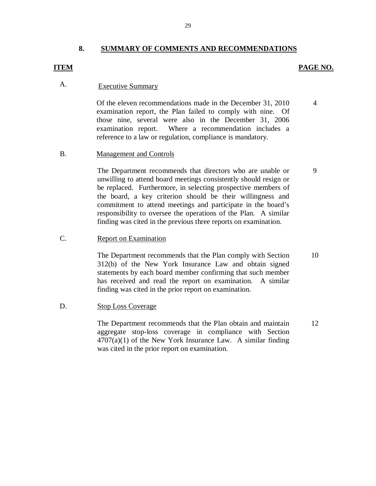#### **8. SUMMARY OF COMMENTS AND RECOMMENDATIONS**

#### **ITEM**

#### **PAGE NO.**

4

9

### A. Executive Summary

 Of the eleven recommendations made in the December 31, 2010 examination report, the Plan failed to comply with nine. Of those nine, several were also in the December 31, 2006 examination report. reference to a law or regulation, compliance is mandatory. Where a recommendation includes a

#### **B. Management and Controls**

 unwilling to attend board meetings consistently should resign or be replaced. Furthermore, in selecting prospective members of the board, a key criterion should be their willingness and commitment to attend meetings and participate in the board's responsibility to oversee the operations of the Plan. A similar finding was cited in the previous three reports on examination. The Department recommends that directors who are unable or

#### $\mathbf{C}$ . **Report on Examination**

 312(b) of the New York Insurance Law and obtain signed statements by each board member confirming that such member has received and read the report on examination. A similar finding was cited in the prior report on examination. The Department recommends that the Plan comply with Section 10

#### D. **Stop Loss Coverage**

 aggregate stop-loss coverage in compliance with Section  $4707(a)(1)$  of the New York Insurance Law. A similar finding was cited in the prior report on examination. The Department recommends that the Plan obtain and maintain 12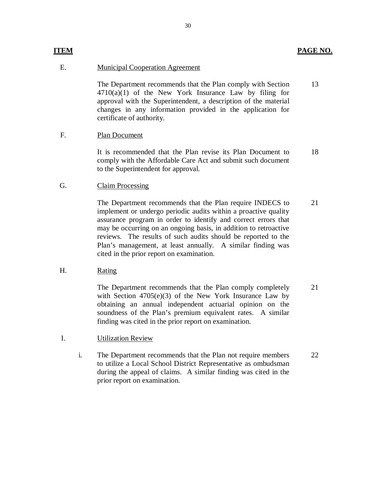#### **ITEM PAGE NO.**

#### E.

 $4710(a)(1)$  of the New York Insurance Law by filing for approval with the Superintendent, a description of the material changes in any information provided in the application for certificate of authority. E. Municipal Cooperation Agreement<br>
The Department recommends that  $4710(a)(1)$  of the New York In<br>
approval with the Superintendent,<br>
changes in any information prov<br>
certificate of authority.<br>
F. Plan Document The Department recommends that the Plan comply with Section 13

#### F. Plan Document

 comply with the Affordable Care Act and submit such document to the Superintendent for approval. 18

#### G. Claim Processing

 implement or undergo periodic audits within a proactive quality assurance program in order to identify and correct errors that may be occurring on an ongoing basis, in addition to retroactive reviews. The results of such audits should be reported to the Plan's management, at least annually. A similar finding was cited in the prior report on examination. It is recommended that the Plan revise its Plan Document to comply with the Affordable Care Act and submit such document to the Superintendent for approval.<br>
G. Claim Processing<br>
The Department recommends that the Plan req The Department recommends that the Plan require INDECS to 21

#### H. Rating

 with Section 4705(e)(3) of the New York Insurance Law by obtaining an annual independent actuarial opinion on the soundness of the Plan's premium equivalent rates. A similar finding was cited in the prior report on examination. The Department recommends that the Plan comply completely 21

#### $I.$ Utilization Review

 to utilize a Local School District Representative as ombudsman during the appeal of claims. A similar finding was cited in the prior report on examination. i. The Department recommends that the Plan not require members 22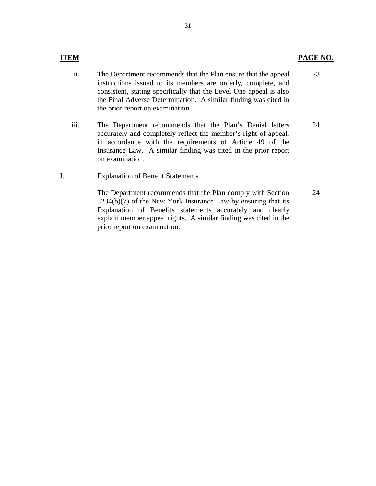- ii. instructions issued to its members are orderly, complete, and consistent, stating specifically that the Level One appeal is also the Final Adverse Determination. A similar finding was cited in the prior report on examination. The Department recommends that the Plan ensure that the appeal 23
- iii. accurately and completely reflect the member's right of appeal, in accordance with the requirements of Article 49 of the Insurance Law. A similar finding was cited in the prior report The Department recommends that the Plan's Denial letters 24 on examination.

#### J. **Explanation of Benefit Statements**

 3234(b)(7) of the New York Insurance Law by ensuring that its Explanation of Benefits statements accurately and clearly explain member appeal rights. A similar finding was cited in the prior report on examination. The Department recommends that the Plan comply with Section 24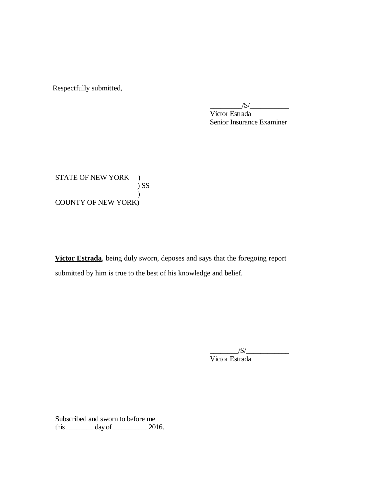Respectfully submitted,

 Victor Estrada Senior Insurance Examiner  $\frac{|S|}{|S|}$ 

STATE OF NEW YORK ) COUNTY OF NEW YORK) ) SS )

 **Victor Estrada**, being duly sworn, deposes and says that the foregoing report submitted by him is true to the best of his knowledge and belief.

> Victor Estrada  $/S/\sim$

 Subscribed and sworn to before me this  $\_\_\_\_\_\_\$  day of  $\_\_\_\_\_\$  2016.